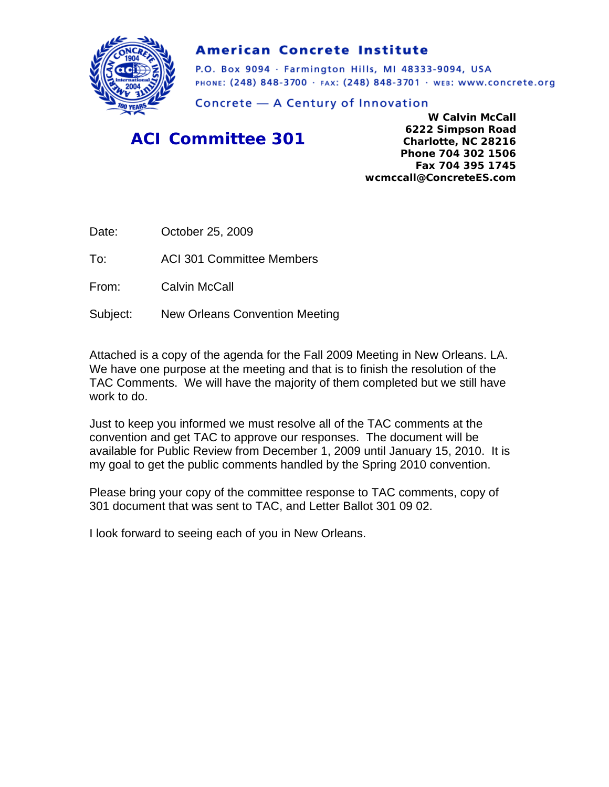

### **American Concrete Institute**

P.O. Box 9094 · Farmington Hills, MI 48333-9094, USA PHONE: (248) 848-3700 · FAX: (248) 848-3701 · WEB: WWW.CONCrete.org

Concrete - A Century of Innovation

### *ACI Committee 301*

**W Calvin McCall 6222 Simpson Road Charlotte, NC 28216 Phone 704 302 1506 Fax 704 395 1745 wcmccall@ConcreteES.com** 

Date: October 25, 2009

To: ACI 301 Committee Members

From: Calvin McCall

Subject: New Orleans Convention Meeting

Attached is a copy of the agenda for the Fall 2009 Meeting in New Orleans. LA. We have one purpose at the meeting and that is to finish the resolution of the TAC Comments. We will have the majority of them completed but we still have work to do.

Just to keep you informed we must resolve all of the TAC comments at the convention and get TAC to approve our responses. The document will be available for Public Review from December 1, 2009 until January 15, 2010. It is my goal to get the public comments handled by the Spring 2010 convention.

Please bring your copy of the committee response to TAC comments, copy of 301 document that was sent to TAC, and Letter Ballot 301 09 02.

I look forward to seeing each of you in New Orleans.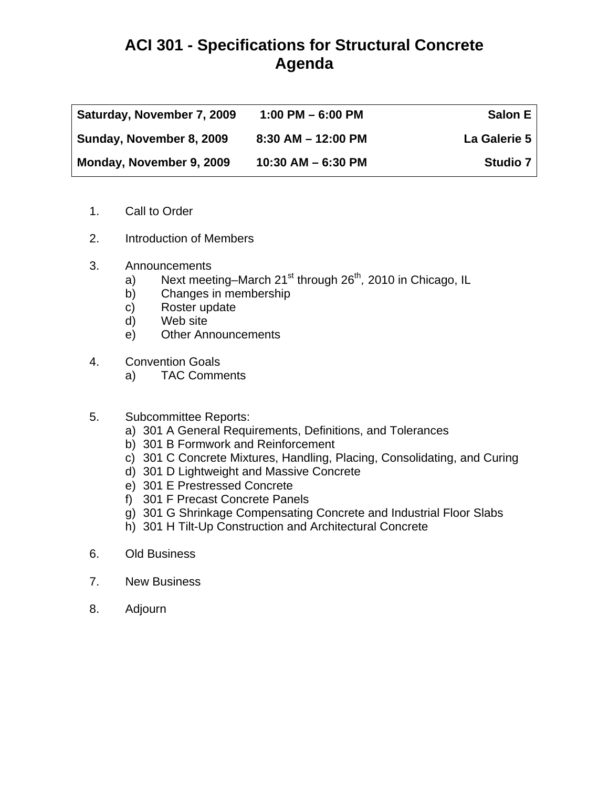## **ACI 301 - Specifications for Structural Concrete Agenda**

| Saturday, November 7, 2009 | $1:00$ PM $-6:00$ PM   | Salon $E \mid$ |
|----------------------------|------------------------|----------------|
| Sunday, November 8, 2009   | $8:30$ AM $-$ 12:00 PM | La Galerie 5   |
| Monday, November 9, 2009   | $10:30$ AM $-6:30$ PM  | Studio 7       |

- 1. Call to Order
- 2. Introduction of Members
- 3. Announcements
	- a) Next meeting–March  $21^{st}$  through  $26^{th}$ , 2010 in Chicago, IL
	- b) Changes in membership
	- c) Roster update
	- d) Web site
	- e) Other Announcements
- 4. Convention Goals
	- a) TAC Comments
- 5. Subcommittee Reports:
	- a) 301 A General Requirements, Definitions, and Tolerances
	- b) 301 B Formwork and Reinforcement
	- c) 301 C Concrete Mixtures, Handling, Placing, Consolidating, and Curing
	- d) 301 D Lightweight and Massive Concrete
	- e) 301 E Prestressed Concrete
	- f) 301 F Precast Concrete Panels
	- g) 301 G Shrinkage Compensating Concrete and Industrial Floor Slabs
	- h) 301 H Tilt-Up Construction and Architectural Concrete
- 6. Old Business
- 7. New Business
- 8. Adjourn